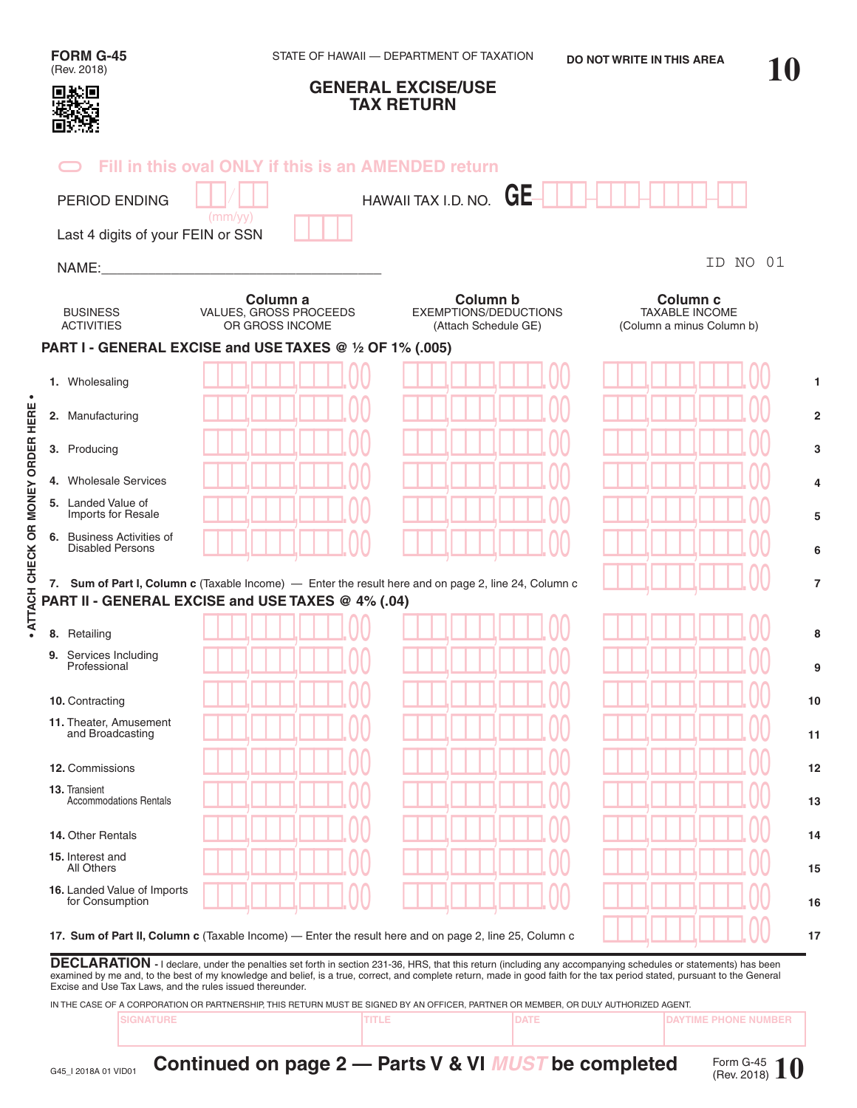| (Rev. 2018)                                                                                                                                                                                                       | STATE OF HAWAII - DEPARTMENT OF TAXATION<br><b>DO NOT WRITE IN THIS AREA</b> |                                                                                                      |                                                                           |    |  |  |
|-------------------------------------------------------------------------------------------------------------------------------------------------------------------------------------------------------------------|------------------------------------------------------------------------------|------------------------------------------------------------------------------------------------------|---------------------------------------------------------------------------|----|--|--|
|                                                                                                                                                                                                                   |                                                                              | <b>GENERAL EXCISE/USE</b><br><b>TAX RETURN</b>                                                       |                                                                           |    |  |  |
|                                                                                                                                                                                                                   | Fill in this oval ONLY if this is an AMENDED return                          |                                                                                                      |                                                                           |    |  |  |
| <b>PERIOD ENDING</b>                                                                                                                                                                                              |                                                                              | HAWAII TAX I.D. NO. $GE$                                                                             |                                                                           |    |  |  |
| Last 4 digits of your FEIN or SSN                                                                                                                                                                                 | (mm/yy)                                                                      |                                                                                                      |                                                                           |    |  |  |
| NAME:                                                                                                                                                                                                             |                                                                              |                                                                                                      | NO<br>ID                                                                  | 01 |  |  |
| <b>BUSINESS</b><br><b>ACTIVITIES</b>                                                                                                                                                                              | Column a<br>VALUES, GROSS PROCEEDS<br>OR GROSS INCOME                        | Column b<br><b>EXEMPTIONS/DEDUCTIONS</b><br>(Attach Schedule GE)                                     | Column <sub>c</sub><br><b>TAXABLE INCOME</b><br>(Column a minus Column b) |    |  |  |
|                                                                                                                                                                                                                   | PART I - GENERAL EXCISE and USE TAXES @ 1/2 OF 1% (.005)                     |                                                                                                      |                                                                           |    |  |  |
| 1. Wholesaling                                                                                                                                                                                                    |                                                                              |                                                                                                      |                                                                           |    |  |  |
| 2. Manufacturing                                                                                                                                                                                                  |                                                                              |                                                                                                      |                                                                           |    |  |  |
| 3. Producing                                                                                                                                                                                                      |                                                                              |                                                                                                      |                                                                           |    |  |  |
| 4. Wholesale Services                                                                                                                                                                                             |                                                                              |                                                                                                      |                                                                           |    |  |  |
| 5. Landed Value of<br>Imports for Resale                                                                                                                                                                          |                                                                              |                                                                                                      |                                                                           |    |  |  |
|                                                                                                                                                                                                                   |                                                                              |                                                                                                      |                                                                           |    |  |  |
| <b>Disabled Persons</b>                                                                                                                                                                                           |                                                                              |                                                                                                      |                                                                           |    |  |  |
| 6. Business Activities of                                                                                                                                                                                         | PART II - GENERAL EXCISE and USE TAXES @ 4% (.04)                            | 7. Sum of Part I, Column c (Taxable Income) — Enter the result here and on page 2, line 24, Column c |                                                                           |    |  |  |
|                                                                                                                                                                                                                   |                                                                              |                                                                                                      |                                                                           |    |  |  |
| Professional                                                                                                                                                                                                      |                                                                              |                                                                                                      |                                                                           |    |  |  |
|                                                                                                                                                                                                                   |                                                                              |                                                                                                      |                                                                           |    |  |  |
|                                                                                                                                                                                                                   |                                                                              |                                                                                                      |                                                                           |    |  |  |
| and Broadcasting                                                                                                                                                                                                  |                                                                              |                                                                                                      |                                                                           |    |  |  |
|                                                                                                                                                                                                                   |                                                                              |                                                                                                      |                                                                           |    |  |  |
|                                                                                                                                                                                                                   |                                                                              |                                                                                                      |                                                                           |    |  |  |
| <b>Accommodations Rentals</b><br>All Others                                                                                                                                                                       |                                                                              |                                                                                                      |                                                                           |    |  |  |
| 8. Retailing<br>9. Services Including<br>10. Contracting<br>11. Theater, Amusement<br>12. Commissions<br>13. Transient<br>14. Other Rentals<br>15. Interest and<br>16. Landed Value of Imports<br>for Consumption |                                                                              |                                                                                                      |                                                                           |    |  |  |

IN THE CASE OF A CORPORATION OR PARTNERSHIP, THIS RETURN MUST BE SIGNED BY AN OFFICER, PARTNER OR MEMBER, OR DULY AUTHORIZED AGENT.

**SIGNATURE TITLE DATE DAYTIME PHONE NUMBER**

**• ATTACH CHECK OR MONEY ORDER HERE •**

· ATTACH CHECK OR MONEY ORDER HERE ·

**Continued on page 2 — Parts V & VI** *MUST* **be completed**